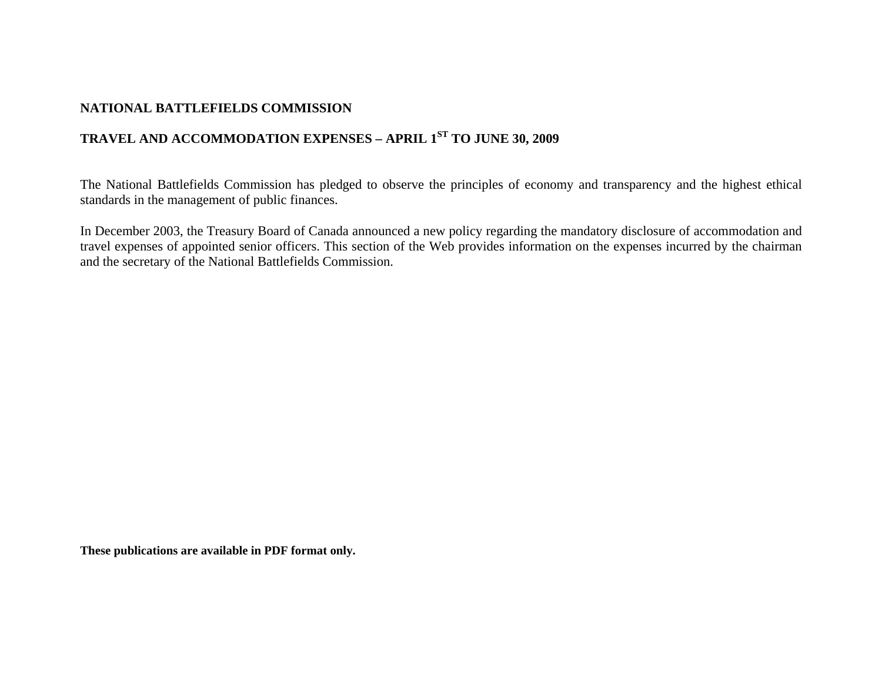## **NATIONAL BATTLEFIELDS COMMISSION**

## **TRAVEL AND ACCOMMODATION EXPENSES – APRIL 1ST TO JUNE 30, 2009**

The National Battlefields Commission has pledged to observe the principles of economy and transparency and the highest ethical standards in the management of public finances.

In December 2003, the Treasury Board of Canada announced a new policy regarding the mandatory disclosure of accommodation and travel expenses of appointed senior officers. This section of the Web provides information on the expenses incurred by the chairman and the secretary of the National Battlefields Commission.

**These publications are available in PDF format only.**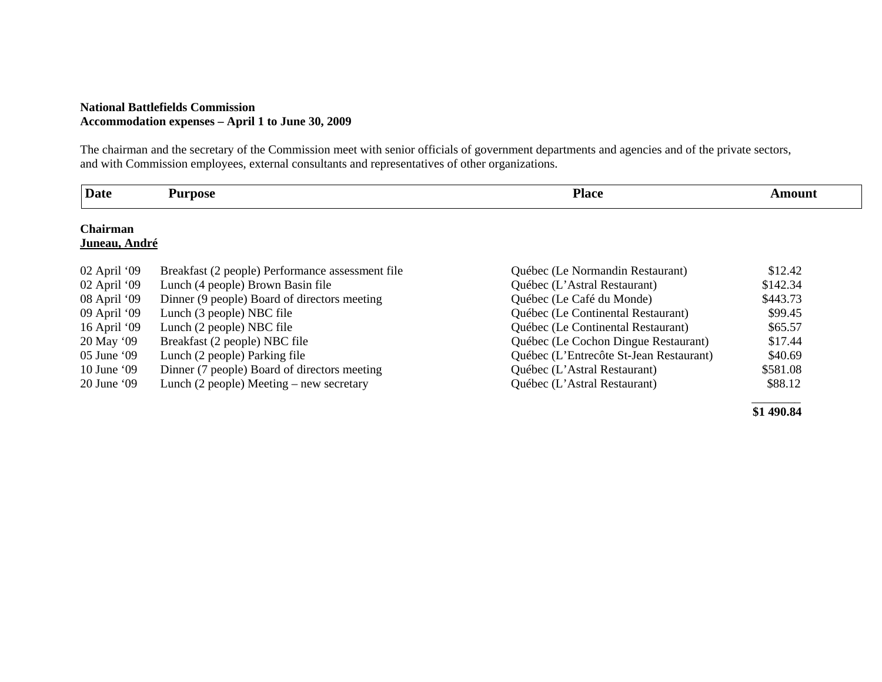## **National Battlefields Commission Accommodation expenses – April 1 to June 30, 2009**

The chairman and the secretary of the Commission meet with senior officials of government departments and agencies and of the private sectors, and with Commission employees, external consultants and representatives of other organizations.

| <b>Date</b>                      | <b>Purpose</b>                                   | <b>Place</b>                            | <b>Amount</b> |
|----------------------------------|--------------------------------------------------|-----------------------------------------|---------------|
| <b>Chairman</b><br>Juneau, André |                                                  |                                         |               |
| 02 April '09                     | Breakfast (2 people) Performance assessment file | Québec (Le Normandin Restaurant)        | \$12.42       |
| $02$ April '09                   | Lunch (4 people) Brown Basin file                | Québec (L'Astral Restaurant)            | \$142.34      |
| 08 April '09                     | Dinner (9 people) Board of directors meeting     | Québec (Le Café du Monde)               | \$443.73      |
| 09 April '09                     | Lunch (3 people) NBC file                        | Québec (Le Continental Restaurant)      | \$99.45       |
| 16 April '09                     | Lunch (2 people) NBC file                        | Québec (Le Continental Restaurant)      | \$65.57       |
| 20 May '09                       | Breakfast (2 people) NBC file                    | Québec (Le Cochon Dingue Restaurant)    | \$17.44       |
| 05 June '09                      | Lunch (2 people) Parking file                    | Québec (L'Entrecôte St-Jean Restaurant) | \$40.69       |
| 10 June $09$                     | Dinner (7 people) Board of directors meeting     | Québec (L'Astral Restaurant)            | \$581.08      |
| $20$ June $09$                   | Lunch $(2$ people) Meeting – new secretary       | Québec (L'Astral Restaurant)            | \$88.12       |

**\$1 490.84**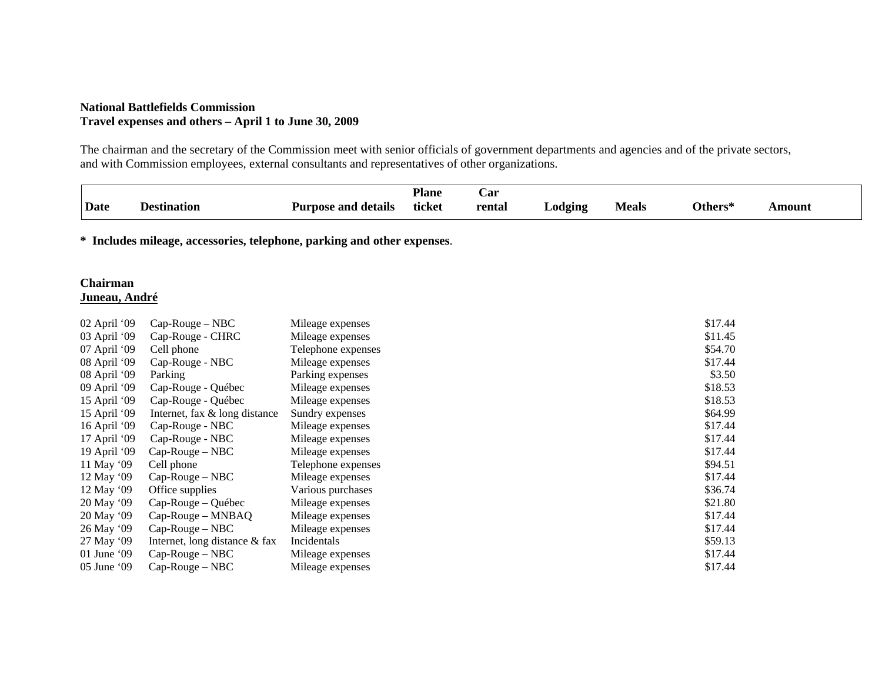## **National Battlefields Commission Travel expenses and others – April 1 to June 30, 2009**

The chairman and the secretary of the Commission meet with senior officials of government departments and agencies and of the private sectors, and with Commission employees, external consultants and representatives of other organizations.

| Date                                                                    | <b>Destination</b>            | <b>Purpose and details</b> | <b>Plane</b><br>ticket | Car<br>rental | Lodging | <b>Meals</b> | Others* | <b>Amount</b> |
|-------------------------------------------------------------------------|-------------------------------|----------------------------|------------------------|---------------|---------|--------------|---------|---------------|
|                                                                         |                               |                            |                        |               |         |              |         |               |
| * Includes mileage, accessories, telephone, parking and other expenses. |                               |                            |                        |               |         |              |         |               |
| <b>Chairman</b>                                                         |                               |                            |                        |               |         |              |         |               |
| Juneau, André                                                           |                               |                            |                        |               |         |              |         |               |
| 02 April '09                                                            | $Cap-Rouge-NBC$               | Mileage expenses           |                        |               |         |              | \$17.44 |               |
| 03 April '09                                                            | Cap-Rouge - CHRC              | Mileage expenses           |                        |               |         |              | \$11.45 |               |
| 07 April '09                                                            | Cell phone                    | Telephone expenses         |                        |               |         |              | \$54.70 |               |
| 08 April '09                                                            | Cap-Rouge - NBC               | Mileage expenses           |                        |               |         |              | \$17.44 |               |
| 08 April '09                                                            | Parking                       | Parking expenses           |                        |               |         |              | \$3.50  |               |
| 09 April '09                                                            | Cap-Rouge - Québec            | Mileage expenses           |                        |               |         |              | \$18.53 |               |
| 15 April '09                                                            | Cap-Rouge - Québec            | Mileage expenses           |                        |               |         |              | \$18.53 |               |
| 15 April '09                                                            | Internet, fax & long distance | Sundry expenses            |                        |               |         |              | \$64.99 |               |
| 16 April '09                                                            | Cap-Rouge - NBC               | Mileage expenses           |                        |               |         |              | \$17.44 |               |
| 17 April '09                                                            | Cap-Rouge - NBC               | Mileage expenses           |                        |               |         |              | \$17.44 |               |
| 19 April '09                                                            | $Cap-Rouge-NBC$               | Mileage expenses           |                        |               |         |              | \$17.44 |               |
| 11 May '09                                                              | Cell phone                    | Telephone expenses         |                        |               |         |              | \$94.51 |               |
| 12 May '09                                                              | $Cap-Rouge-NBC$               | Mileage expenses           |                        |               |         |              | \$17.44 |               |
| 12 May '09                                                              | Office supplies               | Various purchases          |                        |               |         |              | \$36.74 |               |
| 20 May '09                                                              | Cap-Rouge – Québec            | Mileage expenses           |                        |               |         |              | \$21.80 |               |
| 20 May '09                                                              | Cap-Rouge - MNBAQ             | Mileage expenses           |                        |               |         |              | \$17.44 |               |
| 26 May '09                                                              | $Cap-Rouge-NBC$               | Mileage expenses           |                        |               |         |              | \$17.44 |               |
| 27 May '09                                                              | Internet, long distance & fax | Incidentals                |                        |               |         |              | \$59.13 |               |
| 01 June '09                                                             | $Cap-Rouge-NBC$               | Mileage expenses           |                        |               |         |              | \$17.44 |               |

05 June '09 Cap-Rouge – NBC Mileage expenses \$17.44